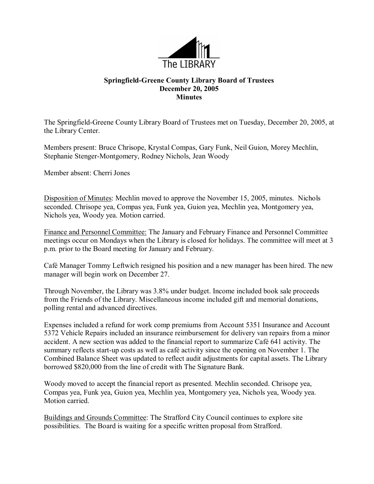

## **Springfield-Greene County Library Board of Trustees December 20, 2005 Minutes**

The Springfield-Greene County Library Board of Trustees met on Tuesday, December 20, 2005, at the Library Center.

Members present: Bruce Chrisope, Krystal Compas, Gary Funk, Neil Guion, Morey Mechlin, Stephanie Stenger-Montgomery, Rodney Nichols, Jean Woody

Member absent: Cherri Jones

Disposition of Minutes: Mechlin moved to approve the November 15, 2005, minutes. Nichols seconded. Chrisope yea, Compas yea, Funk yea, Guion yea, Mechlin yea, Montgomery yea, Nichols yea, Woody yea. Motion carried.

Finance and Personnel Committee: The January and February Finance and Personnel Committee meetings occur on Mondays when the Library is closed for holidays. The committee will meet at 3 p.m. prior to the Board meeting for January and February.

Café Manager Tommy Leftwich resigned his position and a new manager has been hired. The new manager will begin work on December 27.

Through November, the Library was 3.8% under budget. Income included book sale proceeds from the Friends of the Library. Miscellaneous income included gift and memorial donations, polling rental and advanced directives.

Expenses included a refund for work comp premiums from Account 5351 Insurance and Account 5372 Vehicle Repairs included an insurance reimbursement for delivery van repairs from a minor accident. A new section was added to the financial report to summarize Café 641 activity. The summary reflects start-up costs as well as café activity since the opening on November 1. The Combined Balance Sheet was updated to reflect audit adjustments for capital assets. The Library borrowed \$820,000 from the line of credit with The Signature Bank.

Woody moved to accept the financial report as presented. Mechlin seconded. Chrisope yea, Compas yea, Funk yea, Guion yea, Mechlin yea, Montgomery yea, Nichols yea, Woody yea. Motion carried.

Buildings and Grounds Committee: The Strafford City Council continues to explore site possibilities. The Board is waiting for a specific written proposal from Strafford.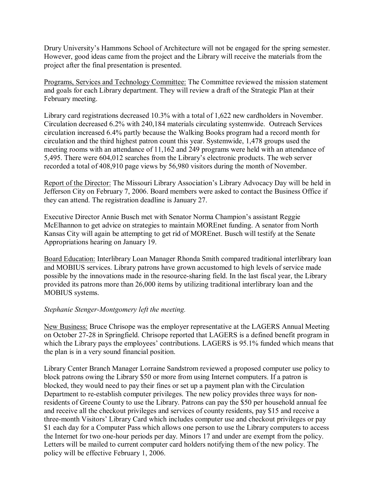Drury University's Hammons School of Architecture will not be engaged for the spring semester. However, good ideas came from the project and the Library will receive the materials from the project after the final presentation is presented.

Programs, Services and Technology Committee: The Committee reviewed the mission statement and goals for each Library department. They will review a draft of the Strategic Plan at their February meeting.

Library card registrations decreased 10.3% with a total of 1,622 new cardholders in November. Circulation decreased 6.2% with 240,184 materials circulating systemwide. Outreach Services circulation increased 6.4% partly because the Walking Books program had a record month for circulation and the third highest patron count this year. Systemwide, 1,478 groups used the meeting rooms with an attendance of 11,162 and 249 programs were held with an attendance of 5,495. There were 604,012 searches from the Library's electronic products. The web server recorded a total of 408,910 page views by 56,980 visitors during the month of November.

Report of the Director: The Missouri Library Association's Library Advocacy Day will be held in Jefferson City on February 7, 2006. Board members were asked to contact the Business Office if they can attend. The registration deadline is January 27.

Executive Director Annie Busch met with Senator Norma Champion's assistant Reggie McElhannon to get advice on strategies to maintain MOREnet funding. A senator from North Kansas City will again be attempting to get rid of MOREnet. Busch will testify at the Senate Appropriations hearing on January 19.

Board Education: Interlibrary Loan Manager Rhonda Smith compared traditional interlibrary loan and MOBIUS services. Library patrons have grown accustomed to high levels of service made possible by the innovations made in the resource-sharing field. In the last fiscal year, the Library provided its patrons more than 26,000 items by utilizing traditional interlibrary loan and the MOBIUS systems.

## *Stephanie Stenger-Montgomery left the meeting.*

New Business: Bruce Chrisope was the employer representative at the LAGERS Annual Meeting on October 2728 in Springfield. Chrisope reported that LAGERS is a defined benefit program in which the Library pays the employees' contributions. LAGERS is 95.1% funded which means that the plan is in a very sound financial position.

Library Center Branch Manager Lorraine Sandstrom reviewed a proposed computer use policy to block patrons owing the Library \$50 or more from using Internet computers. If a patron is blocked, they would need to pay their fines or set up a payment plan with the Circulation Department to re-establish computer privileges. The new policy provides three ways for nonresidents of Greene County to use the Library. Patrons can pay the \$50 per household annual fee and receive all the checkout privileges and services of county residents, pay \$15 and receive a three-month Visitors' Library Card which includes computer use and checkout privileges or pay \$1 each day for a Computer Pass which allows one person to use the Library computers to access the Internet for two one-hour periods per day. Minors 17 and under are exempt from the policy. Letters will be mailed to current computer card holders notifying them of the new policy. The policy will be effective February 1, 2006.